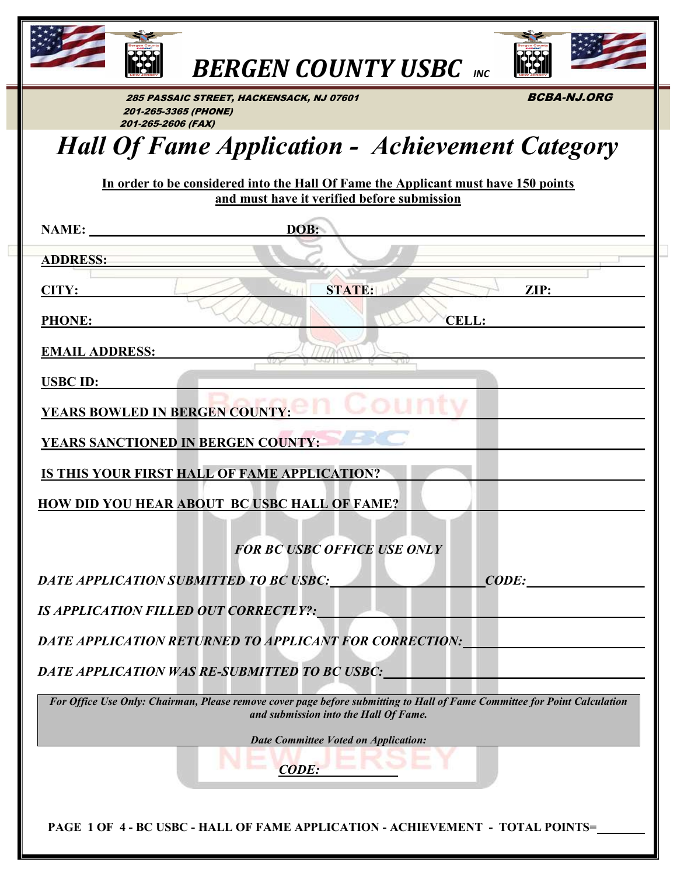

BERGEN COUNTY USBC INC



285 PASSAIC STREET, HACKENSACK, NJ 07601 **BCBA-NJ.ORG**  201-265-3365 (PHONE) 201-265-2606 (FAX)

# Hall Of Fame Application - Achievement Category

In order to be considered into the Hall Of Fame the Applicant must have 150 points and must have it verified before submission

| NAME:                                        | DOB:                                                                                                                      |
|----------------------------------------------|---------------------------------------------------------------------------------------------------------------------------|
| <b>ADDRESS:</b>                              |                                                                                                                           |
| CITY:                                        | STATE:<br>ZIP:                                                                                                            |
| <b>PHONE:</b>                                | <b>CELL:</b>                                                                                                              |
|                                              |                                                                                                                           |
| <b>EMAIL ADDRESS:</b>                        |                                                                                                                           |
| <b>USBC ID:</b>                              |                                                                                                                           |
| <b>YEARS BOWLED IN BERGEN COUNTY:</b>        |                                                                                                                           |
| <b>YEARS SANCTIONED IN BERGEN COUNTY:</b>    |                                                                                                                           |
|                                              | IS THIS YOUR FIRST HALL OF FAME APPLICATION?                                                                              |
|                                              | HOW DID YOU HEAR ABOUT BC USBC HALL OF FAME?                                                                              |
|                                              |                                                                                                                           |
|                                              | <b>FOR BC USBC OFFICE USE ONLY</b>                                                                                        |
| DATE APPLICATION SUBMITTED TO BC USBC:       | <b>CODE:</b>                                                                                                              |
| <b>IS APPLICATION FILLED OUT CORRECTLY?:</b> |                                                                                                                           |
|                                              | <b>DATE APPLICATION RETURNED TO APPLICANT FOR CORRECTION:</b>                                                             |
|                                              | DATE APPLICATION WAS RE-SUBMITTED TO BC USBC:                                                                             |
|                                              | For Office Use Only: Chairman, Please remove cover page before submitting to Hall of Fame Committee for Point Calculation |
|                                              | and submission into the Hall Of Fame.                                                                                     |
|                                              | <b>Date Committee Voted on Application:</b>                                                                               |
|                                              | <b>CODE:</b>                                                                                                              |
|                                              |                                                                                                                           |
|                                              | PAGE 1 OF 4 - BC USBC - HALL OF FAME APPLICATION - ACHIEVEMENT - TOTAL POINTS=                                            |
|                                              |                                                                                                                           |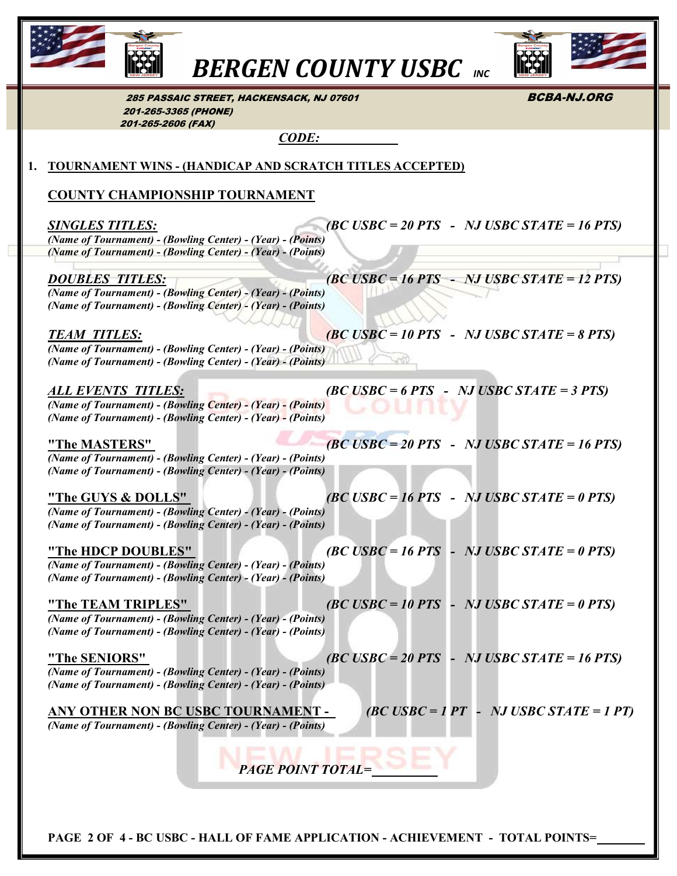

**BERGEN COUNTY USBC** INC



285 PASSAIC STREET, HACKENSACK, NJ 07601 **BCBA-NJ.ORG**  201-265-3365 (PHONE) 201-265-2606 (FAX)

CODE:

#### 1. TOURNAMENT WINS - (HANDICAP AND SCRATCH TITLES ACCEPTED)

#### COUNTY CHAMPIONSHIP TOURNAMENT

 $SINGLES TITLES:$  (BC USBC = 20 PTS - NJ USBC STATE = 16 PTS) (Name of Tournament) - (Bowling Center) - (Year) - (Points) (Name of Tournament) - (Bowling Center) - (Year) - (Points)

 DOUBLES TITLES: (BC USBC = 16 PTS - NJ USBC STATE = 12 PTS) (Name of Tournament) - (Bowling Center) - (Year) - (Points) (Name of Tournament) - (Bowling Center) - (Year) - (Points)

TEAM TITLES:  $\qquad \qquad (BC \text{USBC} = 10 \text{ PTS} \text{ - } NJ \text{USBC STATE} = 8 \text{ PTS})$  (Name of Tournament) - (Bowling Center) - (Year) - (Points) (Name of Tournament) - (Bowling Center) - (Year) - (Points)

ALL EVENTS TITLES:  $(BC \text{USBC} = 6 \text{ } PTS - NJ \text{USBC STATE} = 3 \text{ } PTS)$  (Name of Tournament) - (Bowling Center) - (Year) - (Points) (Name of Tournament) - (Bowling Center) - (Year) - (Points)

"The MASTERS" (BC USBC = 20 PTS - NJ USBC STATE = 16 PTS) (Name of Tournament) - (Bowling Center) - (Year) - (Points) (Name of Tournament) - (Bowling Center) - (Year) - (Points)

"The GUYS & DOLLS" (BC USBC = 16 PTS - NJ USBC STATE = 0 PTS) (Name of Tournament) - (Bowling Center) - (Year) - (Points) (Name of Tournament) - (Bowling Center) - (Year) - (Points)

"The HDCP DOUBLES" (BC USBC = 16 PTS - NJ USBC STATE = 0 PTS) (Name of Tournament) - (Bowling Center) - (Year) - (Points) (Name of Tournament) - (Bowling Center) - (Year) - (Points)

"The TEAM TRIPLES" (BC USBC = 10 PTS - NJ USBC STATE = 0 PTS) (Name of Tournament) - (Bowling Center) - (Year) - (Points) (Name of Tournament) - (Bowling Center) - (Year) - (Points)

"The SENIORS" (BC USBC = 20 PTS - NJ USBC STATE = 16 PTS) (Name of Tournament) - (Bowling Center) - (Year) - (Points) (Name of Tournament) - (Bowling Center) - (Year) - (Points)

ANY OTHER NON BC USBC TOURNAMENT -  $(BC \text{USBC} = 1 \text{ PT})$  - NJ USBC STATE = 1 PT) (Name of Tournament) - (Bowling Center) - (Year) - (Points)

PAGE POINT TOTAL=

PAGE 2 OF 4 - BC USBC - HALL OF FAME APPLICATION - ACHIEVEMENT - TOTAL POINTS=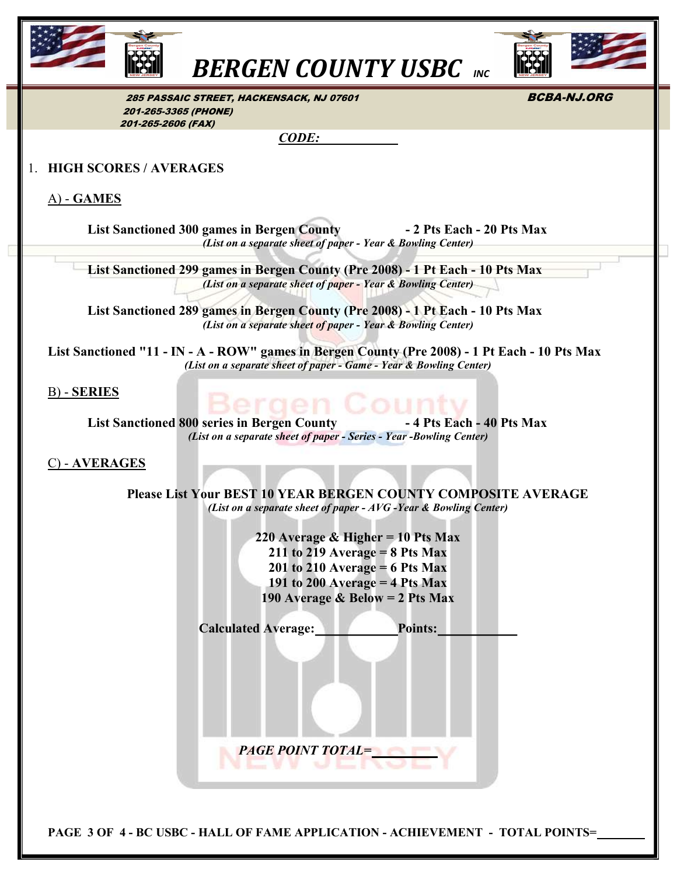

**BERGEN COUNTY USBC** INC



285 PASSAIC STREET, HACKENSACK, NJ 07601 **BCBA-NJ.ORG**  201-265-3365 (PHONE) 201-265-2606 (FAX)

CODE:

#### 1. HIGH SCORES / AVERAGES

A) - GAMES

List Sanctioned 300 games in Bergen County **- 2 Pts Each - 20 Pts Max** (List on a separate sheet of paper - Year & Bowling Center)

 List Sanctioned 299 games in Bergen County (Pre 2008) - 1 Pt Each - 10 Pts Max (List on a separate sheet of paper - Year & Bowling Center)

 List Sanctioned 289 games in Bergen County (Pre 2008) - 1 Pt Each - 10 Pts Max (List on a separate sheet of paper - Year & Bowling Center)

 List Sanctioned "11 - IN - A - ROW" games in Bergen County (Pre 2008) - 1 Pt Each - 10 Pts Max (List on a separate sheet of paper - Game - Year & Bowling Center)

B) - SERIES

List Sanctioned 800 series in Bergen County **-4 Pts Each - 40 Pts Max** (List on a separate sheet of paper - Series - Year -Bowling Center)

C) - AVERAGES

Please List Your BEST 10 YEAR BERGEN COUNTY COMPOSITE AVERAGE (List on a separate sheet of paper - AVG -Year & Bowling Center)

> 220 Average & Higher = 10 Pts Max  $211$  to  $219$  Average = 8 Pts Max  $201$  to  $210$  Average = 6 Pts Max 191 to 200 Average  $=$  4 Pts Max 190 Average & Below = 2 Pts Max

| <b>PAGE POINT TOTAL=</b> |                |
|--------------------------|----------------|
|                          | <b>Points:</b> |

PAGE 3 OF 4 - BC USBC - HALL OF FAME APPLICATION - ACHIEVEMENT - TOTAL POINTS=